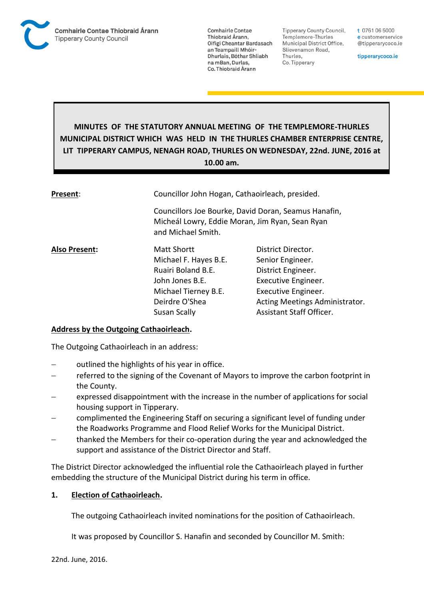

**Comhairle Contae** Thiobraid Árann, Oifigí Cheantar Bardasach an Teampaill Mhóir-Dhurlais, Bóthar Shliabh na mBan, Durlas. Co. Thiobraid Árann

**Tipperary County Council,** Templemore-Thurles Municipal District Office, Slievenamon Road, Thurles, Co. Tipperary

t 0761 06 5000 e customerservice @tipperarycoco.ie

tipperarycoco.ie

# **MINUTES OF THE STATUTORY ANNUAL MEETING OF THE TEMPLEMORE-THURLES MUNICIPAL DISTRICT WHICH WAS HELD IN THE THURLES CHAMBER ENTERPRISE CENTRE, LIT TIPPERARY CAMPUS, NENAGH ROAD, THURLES ON WEDNESDAY, 22nd. JUNE, 2016 at 10.00 am.**

| Present:             | Councillor John Hogan, Cathaoirleach, presided.                                                                               |                                |
|----------------------|-------------------------------------------------------------------------------------------------------------------------------|--------------------------------|
|                      | Councillors Joe Bourke, David Doran, Seamus Hanafin,<br>Micheál Lowry, Eddie Moran, Jim Ryan, Sean Ryan<br>and Michael Smith. |                                |
| <b>Also Present:</b> | <b>Matt Shortt</b>                                                                                                            | District Director.             |
|                      | Michael F. Hayes B.E.                                                                                                         | Senior Engineer.               |
|                      | Ruairi Boland B.E.                                                                                                            | District Engineer.             |
|                      | John Jones B.E.                                                                                                               | Executive Engineer.            |
|                      | Michael Tierney B.E.                                                                                                          | Executive Engineer.            |
|                      | Deirdre O'Shea                                                                                                                | Acting Meetings Administrator. |
|                      | Susan Scally                                                                                                                  | Assistant Staff Officer.       |

### **Address by the Outgoing Cathaoirleach.**

The Outgoing Cathaoirleach in an address:

- outlined the highlights of his year in office.
- referred to the signing of the Covenant of Mayors to improve the carbon footprint in the County.
- expressed disappointment with the increase in the number of applications for social housing support in Tipperary.
- complimented the Engineering Staff on securing a significant level of funding under the Roadworks Programme and Flood Relief Works for the Municipal District.
- thanked the Members for their co-operation during the year and acknowledged the support and assistance of the District Director and Staff.

The District Director acknowledged the influential role the Cathaoirleach played in further embedding the structure of the Municipal District during his term in office.

### **1. Election of Cathaoirleach.**

The outgoing Cathaoirleach invited nominations for the position of Cathaoirleach.

It was proposed by Councillor S. Hanafin and seconded by Councillor M. Smith: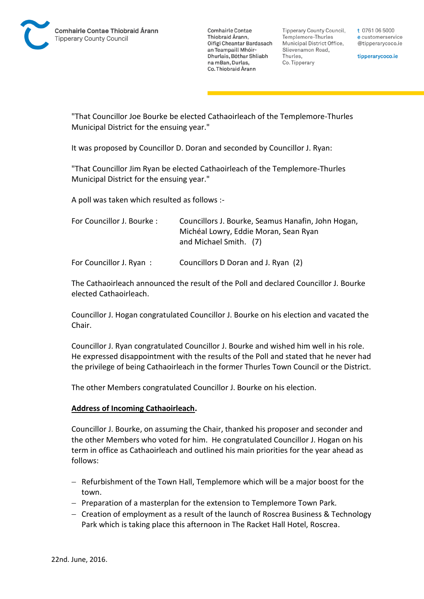

**Comhairle Contae** Thiobraid Árann. Oifigí Cheantar Bardasach an Teampaill Mhóir-Dhurlais, Bóthar Shliabh na mBan, Durlas. Co. Thiobraid Árann

Tipperary County Council. Templemore-Thurles Municipal District Office, Slievenamon Road, Thurles, Co. Tipperary

t 0761 06 5000 e customerservice @tipperarycoco.ie

tipperarycoco.ie

"That Councillor Joe Bourke be elected Cathaoirleach of the Templemore-Thurles Municipal District for the ensuing year."

It was proposed by Councillor D. Doran and seconded by Councillor J. Ryan:

"That Councillor Jim Ryan be elected Cathaoirleach of the Templemore-Thurles Municipal District for the ensuing year."

A poll was taken which resulted as follows :-

| For Councillor J. Bourke: | Councillors J. Bourke, Seamus Hanafin, John Hogan, |
|---------------------------|----------------------------------------------------|
|                           | Michéal Lowry, Eddie Moran, Sean Ryan              |
|                           | and Michael Smith. (7)                             |
|                           |                                                    |

For Councillor J. Ryan: Councillors D Doran and J. Ryan (2)

The Cathaoirleach announced the result of the Poll and declared Councillor J. Bourke elected Cathaoirleach.

Councillor J. Hogan congratulated Councillor J. Bourke on his election and vacated the Chair.

Councillor J. Ryan congratulated Councillor J. Bourke and wished him well in his role. He expressed disappointment with the results of the Poll and stated that he never had the privilege of being Cathaoirleach in the former Thurles Town Council or the District.

The other Members congratulated Councillor J. Bourke on his election.

#### **Address of Incoming Cathaoirleach.**

Councillor J. Bourke, on assuming the Chair, thanked his proposer and seconder and the other Members who voted for him. He congratulated Councillor J. Hogan on his term in office as Cathaoirleach and outlined his main priorities for the year ahead as follows:

- Refurbishment of the Town Hall, Templemore which will be a major boost for the town.
- Preparation of a masterplan for the extension to Templemore Town Park.
- Creation of employment as a result of the launch of Roscrea Business & Technology Park which is taking place this afternoon in The Racket Hall Hotel, Roscrea.